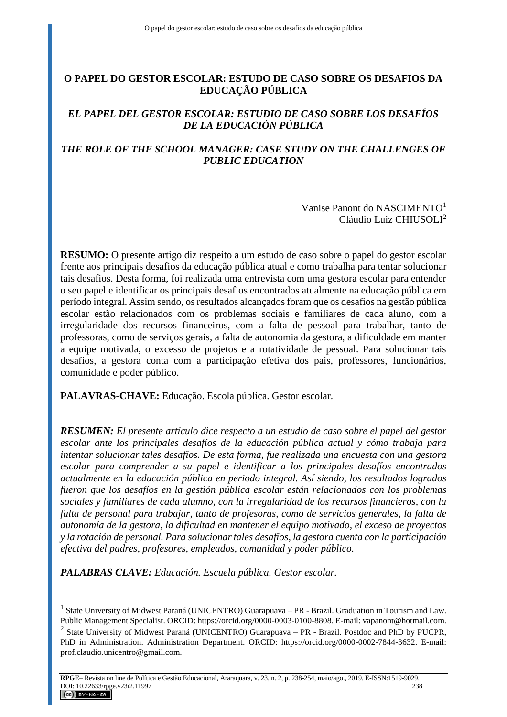# **O PAPEL DO GESTOR ESCOLAR: ESTUDO DE CASO SOBRE OS DESAFIOS DA EDUCAÇÃO PÚBLICA**

# *EL PAPEL DEL GESTOR ESCOLAR: ESTUDIO DE CASO SOBRE LOS DESAFÍOS DE LA EDUCACIÓN PÚBLICA*

# *THE ROLE OF THE SCHOOL MANAGER: CASE STUDY ON THE CHALLENGES OF PUBLIC EDUCATION*

Vanise Panont do NASCIMENTO<sup>1</sup> Cláudio Luiz CHIUSOLI<sup>2</sup>

**RESUMO:** O presente artigo diz respeito a um estudo de caso sobre o papel do gestor escolar frente aos principais desafios da educação pública atual e como trabalha para tentar solucionar tais desafios. Desta forma, foi realizada uma entrevista com uma gestora escolar para entender o seu papel e identificar os principais desafios encontrados atualmente na educação pública em período integral. Assim sendo, os resultados alcançados foram que os desafios na gestão pública escolar estão relacionados com os problemas sociais e familiares de cada aluno, com a irregularidade dos recursos financeiros, com a falta de pessoal para trabalhar, tanto de professoras, como de serviços gerais, a falta de autonomia da gestora, a dificuldade em manter a equipe motivada, o excesso de projetos e a rotatividade de pessoal. Para solucionar tais desafios, a gestora conta com a participação efetiva dos pais, professores, funcionários, comunidade e poder público.

**PALAVRAS-CHAVE:** Educação. Escola pública. Gestor escolar.

*RESUMEN: El presente artículo dice respecto a un estudio de caso sobre el papel del gestor escolar ante los principales desafíos de la educación pública actual y cómo trabaja para intentar solucionar tales desafíos. De esta forma, fue realizada una encuesta con una gestora escolar para comprender a su papel e identificar a los principales desafíos encontrados actualmente en la educación pública en periodo integral. Así siendo, los resultados logrados fueron que los desafíos en la gestión pública escolar están relacionados con los problemas sociales y familiares de cada alumno, con la irregularidad de los recursos financieros, con la falta de personal para trabajar, tanto de profesoras, como de servicios generales, la falta de autonomía de la gestora, la dificultad en mantener el equipo motivado, el exceso de proyectos y la rotación de personal. Para solucionar tales desafíos, la gestora cuenta con la participación efectiva del padres, profesores, empleados, comunidad y poder público.*

*PALABRAS CLAVE: Educación. Escuela pública. Gestor escolar.*

 $\overline{a}$ 

<sup>&</sup>lt;sup>1</sup> State University of Midwest Paraná (UNICENTRO) Guarapuava – PR - Brazil. Graduation in Tourism and Law. Public Management Specialist. ORCID: https://orcid.org/0000-0003-0100-8808. E-mail: vapanont@hotmail.com. <sup>2</sup> State University of Midwest Paraná (UNICENTRO) Guarapuava – PR - Brazil. Postdoc and PhD by PUCPR, PhD in Administration. Administration Department. ORCID: https://orcid.org/0000-0002-7844-3632. E-mail: prof.claudio.unicentro@gmail.com.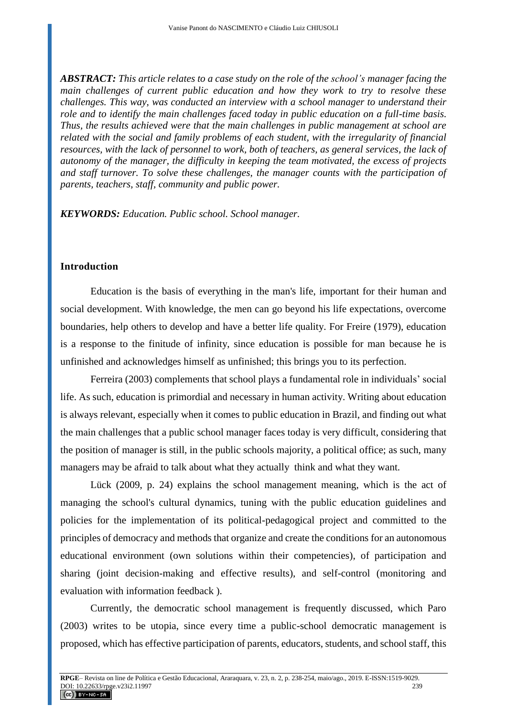*ABSTRACT: This article relates to a case study on the role of the school's manager facing the main challenges of current public education and how they work to try to resolve these challenges. This way, was conducted an interview with a school manager to understand their role and to identify the main challenges faced today in public education on a full-time basis. Thus, the results achieved were that the main challenges in public management at school are related with the social and family problems of each student, with the irregularity of financial resources, with the lack of personnel to work, both of teachers, as general services, the lack of autonomy of the manager, the difficulty in keeping the team motivated, the excess of projects and staff turnover. To solve these challenges, the manager counts with the participation of parents, teachers, staff, community and public power.*

*KEYWORDS: Education. Public school. School manager.*

### **Introduction**

Education is the basis of everything in the man's life, important for their human and social development. With knowledge, the men can go beyond his life expectations, overcome boundaries, help others to develop and have a better life quality. For Freire (1979), education is a response to the finitude of infinity, since education is possible for man because he is unfinished and acknowledges himself as unfinished; this brings you to its perfection.

Ferreira (2003) complements that school plays a fundamental role in individuals' social life. As such, education is primordial and necessary in human activity. Writing about education is always relevant, especially when it comes to public education in Brazil, and finding out what the main challenges that a public school manager faces today is very difficult, considering that the position of manager is still, in the public schools majority, a political office; as such, many managers may be afraid to talk about what they actually think and what they want.

Lück (2009, p. 24) explains the school management meaning, which is the act of managing the school's cultural dynamics, tuning with the public education guidelines and policies for the implementation of its political-pedagogical project and committed to the principles of democracy and methods that organize and create the conditions for an autonomous educational environment (own solutions within their competencies), of participation and sharing (joint decision-making and effective results), and self-control (monitoring and evaluation with information feedback ).

Currently, the democratic school management is frequently discussed, which Paro (2003) writes to be utopia, since every time a public-school democratic management is proposed, which has effective participation of parents, educators, students, and school staff, this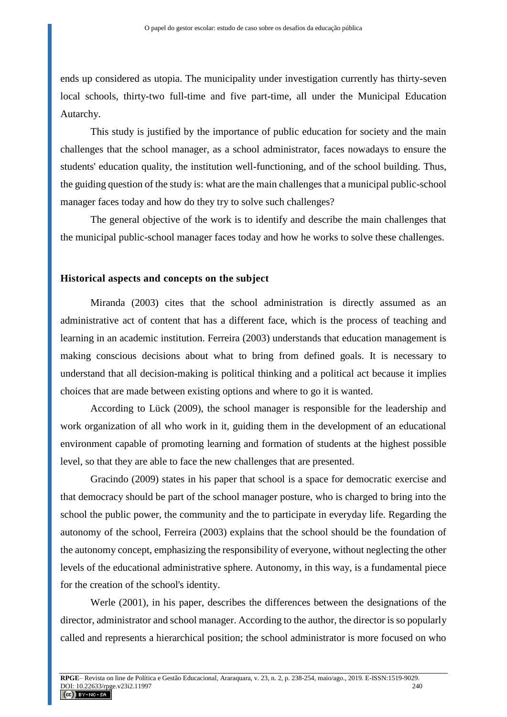ends up considered as utopia. The municipality under investigation currently has thirty-seven local schools, thirty-two full-time and five part-time, all under the Municipal Education Autarchy.

This study is justified by the importance of public education for society and the main challenges that the school manager, as a school administrator, faces nowadays to ensure the students' education quality, the institution well-functioning, and of the school building. Thus, the guiding question of the study is: what are the main challenges that a municipal public-school manager faces today and how do they try to solve such challenges?

The general objective of the work is to identify and describe the main challenges that the municipal public-school manager faces today and how he works to solve these challenges.

#### **Historical aspects and concepts on the subject**

Miranda (2003) cites that the school administration is directly assumed as an administrative act of content that has a different face, which is the process of teaching and learning in an academic institution. Ferreira (2003) understands that education management is making conscious decisions about what to bring from defined goals. It is necessary to understand that all decision-making is political thinking and a political act because it implies choices that are made between existing options and where to go it is wanted.

According to Lück (2009), the school manager is responsible for the leadership and work organization of all who work in it, guiding them in the development of an educational environment capable of promoting learning and formation of students at the highest possible level, so that they are able to face the new challenges that are presented.

Gracindo (2009) states in his paper that school is a space for democratic exercise and that democracy should be part of the school manager posture, who is charged to bring into the school the public power, the community and the to participate in everyday life. Regarding the autonomy of the school, Ferreira (2003) explains that the school should be the foundation of the autonomy concept, emphasizing the responsibility of everyone, without neglecting the other levels of the educational administrative sphere. Autonomy, in this way, is a fundamental piece for the creation of the school's identity.

Werle (2001), in his paper, describes the differences between the designations of the director, administrator and school manager. According to the author, the director is so popularly called and represents a hierarchical position; the school administrator is more focused on who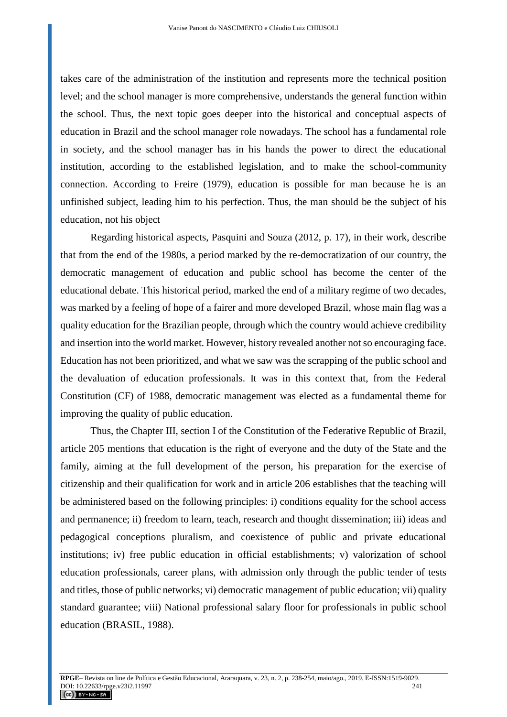takes care of the administration of the institution and represents more the technical position level; and the school manager is more comprehensive, understands the general function within the school. Thus, the next topic goes deeper into the historical and conceptual aspects of education in Brazil and the school manager role nowadays. The school has a fundamental role in society, and the school manager has in his hands the power to direct the educational institution, according to the established legislation, and to make the school-community connection. According to Freire (1979), education is possible for man because he is an unfinished subject, leading him to his perfection. Thus, the man should be the subject of his education, not his object

Regarding historical aspects, Pasquini and Souza (2012, p. 17), in their work, describe that from the end of the 1980s, a period marked by the re-democratization of our country, the democratic management of education and public school has become the center of the educational debate. This historical period, marked the end of a military regime of two decades, was marked by a feeling of hope of a fairer and more developed Brazil, whose main flag was a quality education for the Brazilian people, through which the country would achieve credibility and insertion into the world market. However, history revealed another not so encouraging face. Education has not been prioritized, and what we saw was the scrapping of the public school and the devaluation of education professionals. It was in this context that, from the Federal Constitution (CF) of 1988, democratic management was elected as a fundamental theme for improving the quality of public education.

Thus, the Chapter III, section I of the Constitution of the Federative Republic of Brazil, article 205 mentions that education is the right of everyone and the duty of the State and the family, aiming at the full development of the person, his preparation for the exercise of citizenship and their qualification for work and in article 206 establishes that the teaching will be administered based on the following principles: i) conditions equality for the school access and permanence; ii) freedom to learn, teach, research and thought dissemination; iii) ideas and pedagogical conceptions pluralism, and coexistence of public and private educational institutions; iv) free public education in official establishments; v) valorization of school education professionals, career plans, with admission only through the public tender of tests and titles, those of public networks; vi) democratic management of public education; vii) quality standard guarantee; viii) National professional salary floor for professionals in public school education (BRASIL, 1988).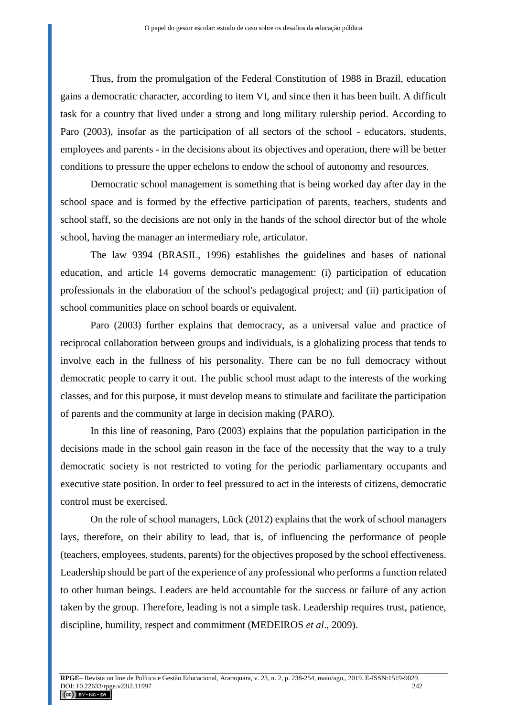Thus, from the promulgation of the Federal Constitution of 1988 in Brazil, education gains a democratic character, according to item VI, and since then it has been built. A difficult task for a country that lived under a strong and long military rulership period. According to Paro (2003), insofar as the participation of all sectors of the school - educators, students, employees and parents - in the decisions about its objectives and operation, there will be better conditions to pressure the upper echelons to endow the school of autonomy and resources.

Democratic school management is something that is being worked day after day in the school space and is formed by the effective participation of parents, teachers, students and school staff, so the decisions are not only in the hands of the school director but of the whole school, having the manager an intermediary role, articulator.

The law 9394 (BRASIL, 1996) establishes the guidelines and bases of national education, and article 14 governs democratic management: (i) participation of education professionals in the elaboration of the school's pedagogical project; and (ii) participation of school communities place on school boards or equivalent.

Paro (2003) further explains that democracy, as a universal value and practice of reciprocal collaboration between groups and individuals, is a globalizing process that tends to involve each in the fullness of his personality. There can be no full democracy without democratic people to carry it out. The public school must adapt to the interests of the working classes, and for this purpose, it must develop means to stimulate and facilitate the participation of parents and the community at large in decision making (PARO).

In this line of reasoning, Paro (2003) explains that the population participation in the decisions made in the school gain reason in the face of the necessity that the way to a truly democratic society is not restricted to voting for the periodic parliamentary occupants and executive state position. In order to feel pressured to act in the interests of citizens, democratic control must be exercised.

On the role of school managers, Lück (2012) explains that the work of school managers lays, therefore, on their ability to lead, that is, of influencing the performance of people (teachers, employees, students, parents) for the objectives proposed by the school effectiveness. Leadership should be part of the experience of any professional who performs a function related to other human beings. Leaders are held accountable for the success or failure of any action taken by the group. Therefore, leading is not a simple task. Leadership requires trust, patience, discipline, humility, respect and commitment (MEDEIROS *et al*., 2009).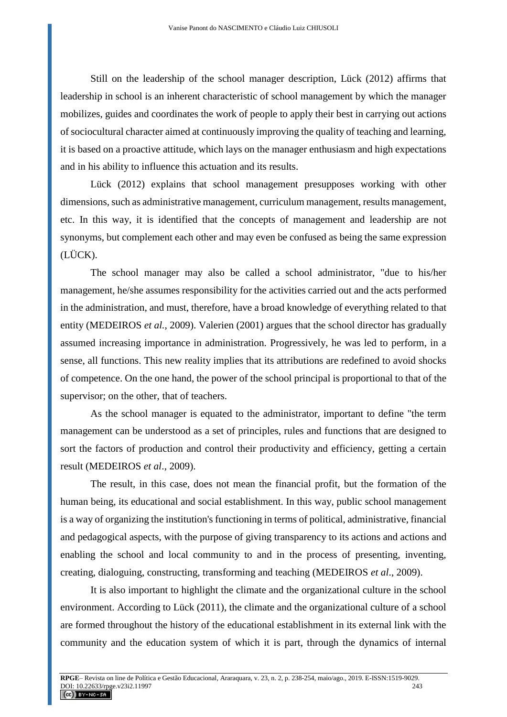Still on the leadership of the school manager description, Lück (2012) affirms that leadership in school is an inherent characteristic of school management by which the manager mobilizes, guides and coordinates the work of people to apply their best in carrying out actions of sociocultural character aimed at continuously improving the quality of teaching and learning, it is based on a proactive attitude, which lays on the manager enthusiasm and high expectations and in his ability to influence this actuation and its results.

Lück (2012) explains that school management presupposes working with other dimensions, such as administrative management, curriculum management, results management, etc. In this way, it is identified that the concepts of management and leadership are not synonyms, but complement each other and may even be confused as being the same expression (LÜCK).

The school manager may also be called a school administrator, "due to his/her management, he/she assumes responsibility for the activities carried out and the acts performed in the administration, and must, therefore, have a broad knowledge of everything related to that entity (MEDEIROS *et al.*, 2009). Valerien (2001) argues that the school director has gradually assumed increasing importance in administration. Progressively, he was led to perform, in a sense, all functions. This new reality implies that its attributions are redefined to avoid shocks of competence. On the one hand, the power of the school principal is proportional to that of the supervisor; on the other, that of teachers.

As the school manager is equated to the administrator, important to define "the term management can be understood as a set of principles, rules and functions that are designed to sort the factors of production and control their productivity and efficiency, getting a certain result (MEDEIROS *et al*., 2009).

The result, in this case, does not mean the financial profit, but the formation of the human being, its educational and social establishment. In this way, public school management is a way of organizing the institution's functioning in terms of political, administrative, financial and pedagogical aspects, with the purpose of giving transparency to its actions and actions and enabling the school and local community to and in the process of presenting, inventing, creating, dialoguing, constructing, transforming and teaching (MEDEIROS *et al*., 2009).

It is also important to highlight the climate and the organizational culture in the school environment. According to Lück (2011), the climate and the organizational culture of a school are formed throughout the history of the educational establishment in its external link with the community and the education system of which it is part, through the dynamics of internal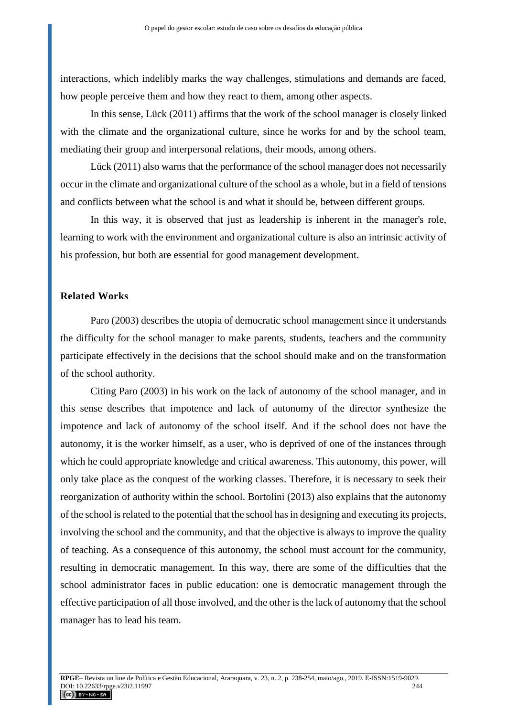interactions, which indelibly marks the way challenges, stimulations and demands are faced, how people perceive them and how they react to them, among other aspects.

In this sense, Lück (2011) affirms that the work of the school manager is closely linked with the climate and the organizational culture, since he works for and by the school team, mediating their group and interpersonal relations, their moods, among others.

Lück (2011) also warns that the performance of the school manager does not necessarily occur in the climate and organizational culture of the school as a whole, but in a field of tensions and conflicts between what the school is and what it should be, between different groups.

In this way, it is observed that just as leadership is inherent in the manager's role, learning to work with the environment and organizational culture is also an intrinsic activity of his profession, but both are essential for good management development.

### **Related Works**

Paro (2003) describes the utopia of democratic school management since it understands the difficulty for the school manager to make parents, students, teachers and the community participate effectively in the decisions that the school should make and on the transformation of the school authority.

Citing Paro (2003) in his work on the lack of autonomy of the school manager, and in this sense describes that impotence and lack of autonomy of the director synthesize the impotence and lack of autonomy of the school itself. And if the school does not have the autonomy, it is the worker himself, as a user, who is deprived of one of the instances through which he could appropriate knowledge and critical awareness. This autonomy, this power, will only take place as the conquest of the working classes. Therefore, it is necessary to seek their reorganization of authority within the school. Bortolini (2013) also explains that the autonomy of the school is related to the potential that the school has in designing and executing its projects, involving the school and the community, and that the objective is always to improve the quality of teaching. As a consequence of this autonomy, the school must account for the community, resulting in democratic management. In this way, there are some of the difficulties that the school administrator faces in public education: one is democratic management through the effective participation of all those involved, and the other is the lack of autonomy that the school manager has to lead his team.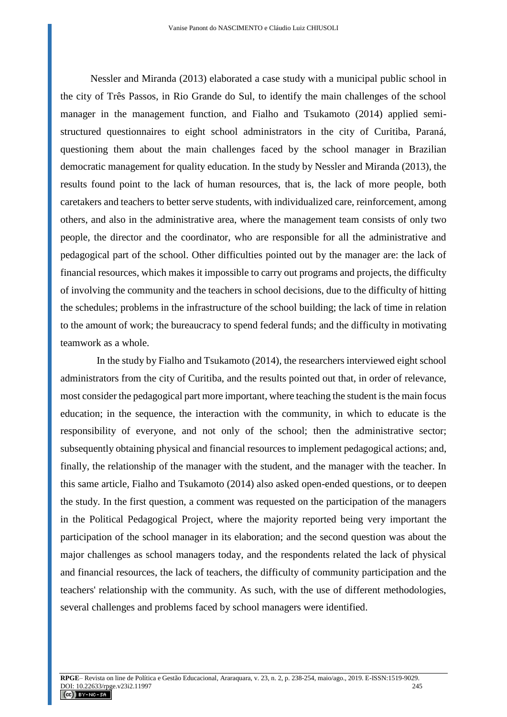Nessler and Miranda (2013) elaborated a case study with a municipal public school in the city of Três Passos, in Rio Grande do Sul, to identify the main challenges of the school manager in the management function, and Fialho and Tsukamoto (2014) applied semistructured questionnaires to eight school administrators in the city of Curitiba, Paraná, questioning them about the main challenges faced by the school manager in Brazilian democratic management for quality education. In the study by Nessler and Miranda (2013), the results found point to the lack of human resources, that is, the lack of more people, both caretakers and teachers to better serve students, with individualized care, reinforcement, among others, and also in the administrative area, where the management team consists of only two people, the director and the coordinator, who are responsible for all the administrative and pedagogical part of the school. Other difficulties pointed out by the manager are: the lack of financial resources, which makes it impossible to carry out programs and projects, the difficulty of involving the community and the teachers in school decisions, due to the difficulty of hitting the schedules; problems in the infrastructure of the school building; the lack of time in relation to the amount of work; the bureaucracy to spend federal funds; and the difficulty in motivating teamwork as a whole.

In the study by Fialho and Tsukamoto (2014), the researchers interviewed eight school administrators from the city of Curitiba, and the results pointed out that, in order of relevance, most consider the pedagogical part more important, where teaching the student is the main focus education; in the sequence, the interaction with the community, in which to educate is the responsibility of everyone, and not only of the school; then the administrative sector; subsequently obtaining physical and financial resources to implement pedagogical actions; and, finally, the relationship of the manager with the student, and the manager with the teacher. In this same article, Fialho and Tsukamoto (2014) also asked open-ended questions, or to deepen the study. In the first question, a comment was requested on the participation of the managers in the Political Pedagogical Project, where the majority reported being very important the participation of the school manager in its elaboration; and the second question was about the major challenges as school managers today, and the respondents related the lack of physical and financial resources, the lack of teachers, the difficulty of community participation and the teachers' relationship with the community. As such, with the use of different methodologies, several challenges and problems faced by school managers were identified.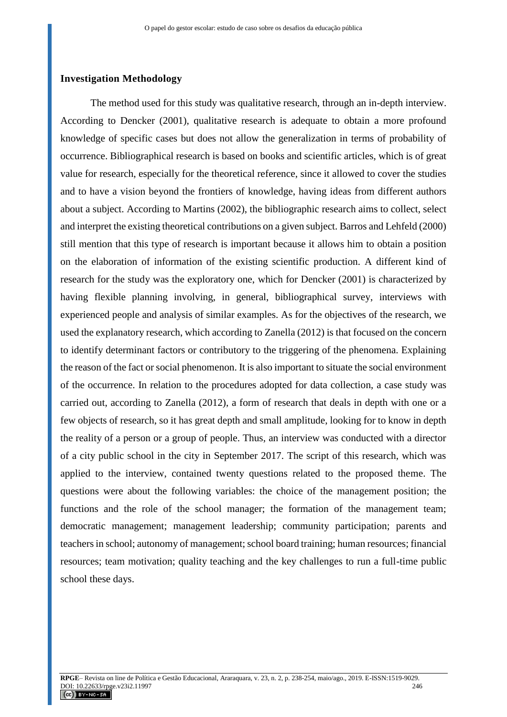#### **Investigation Methodology**

The method used for this study was qualitative research, through an in-depth interview. According to Dencker (2001), qualitative research is adequate to obtain a more profound knowledge of specific cases but does not allow the generalization in terms of probability of occurrence. Bibliographical research is based on books and scientific articles, which is of great value for research, especially for the theoretical reference, since it allowed to cover the studies and to have a vision beyond the frontiers of knowledge, having ideas from different authors about a subject. According to Martins (2002), the bibliographic research aims to collect, select and interpret the existing theoretical contributions on a given subject. Barros and Lehfeld (2000) still mention that this type of research is important because it allows him to obtain a position on the elaboration of information of the existing scientific production. A different kind of research for the study was the exploratory one, which for Dencker (2001) is characterized by having flexible planning involving, in general, bibliographical survey, interviews with experienced people and analysis of similar examples. As for the objectives of the research, we used the explanatory research, which according to Zanella (2012) is that focused on the concern to identify determinant factors or contributory to the triggering of the phenomena. Explaining the reason of the fact or social phenomenon. It is also important to situate the social environment of the occurrence. In relation to the procedures adopted for data collection, a case study was carried out, according to Zanella (2012), a form of research that deals in depth with one or a few objects of research, so it has great depth and small amplitude, looking for to know in depth the reality of a person or a group of people. Thus, an interview was conducted with a director of a city public school in the city in September 2017. The script of this research, which was applied to the interview, contained twenty questions related to the proposed theme. The questions were about the following variables: the choice of the management position; the functions and the role of the school manager; the formation of the management team; democratic management; management leadership; community participation; parents and teachers in school; autonomy of management; school board training; human resources; financial resources; team motivation; quality teaching and the key challenges to run a full-time public school these days.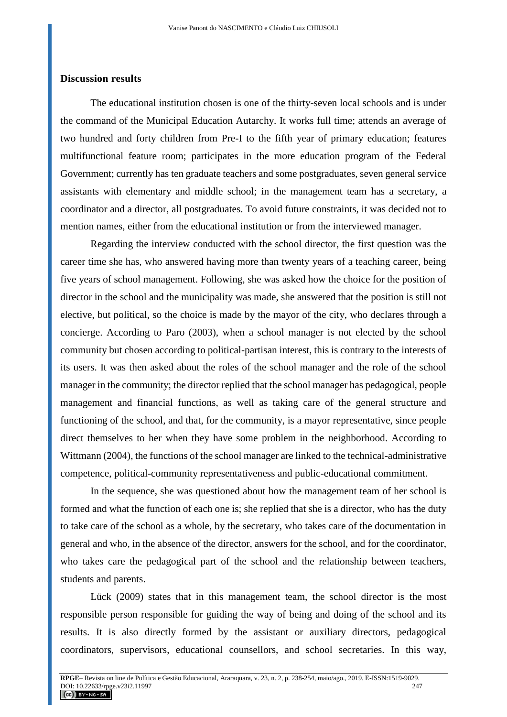#### **Discussion results**

The educational institution chosen is one of the thirty-seven local schools and is under the command of the Municipal Education Autarchy. It works full time; attends an average of two hundred and forty children from Pre-I to the fifth year of primary education; features multifunctional feature room; participates in the more education program of the Federal Government; currently has ten graduate teachers and some postgraduates, seven general service assistants with elementary and middle school; in the management team has a secretary, a coordinator and a director, all postgraduates. To avoid future constraints, it was decided not to mention names, either from the educational institution or from the interviewed manager.

Regarding the interview conducted with the school director, the first question was the career time she has, who answered having more than twenty years of a teaching career, being five years of school management. Following, she was asked how the choice for the position of director in the school and the municipality was made, she answered that the position is still not elective, but political, so the choice is made by the mayor of the city, who declares through a concierge. According to Paro (2003), when a school manager is not elected by the school community but chosen according to political-partisan interest, this is contrary to the interests of its users. It was then asked about the roles of the school manager and the role of the school manager in the community; the director replied that the school manager has pedagogical, people management and financial functions, as well as taking care of the general structure and functioning of the school, and that, for the community, is a mayor representative, since people direct themselves to her when they have some problem in the neighborhood. According to Wittmann (2004), the functions of the school manager are linked to the technical-administrative competence, political-community representativeness and public-educational commitment.

In the sequence, she was questioned about how the management team of her school is formed and what the function of each one is; she replied that she is a director, who has the duty to take care of the school as a whole, by the secretary, who takes care of the documentation in general and who, in the absence of the director, answers for the school, and for the coordinator, who takes care the pedagogical part of the school and the relationship between teachers, students and parents.

Lück (2009) states that in this management team, the school director is the most responsible person responsible for guiding the way of being and doing of the school and its results. It is also directly formed by the assistant or auxiliary directors, pedagogical coordinators, supervisors, educational counsellors, and school secretaries. In this way,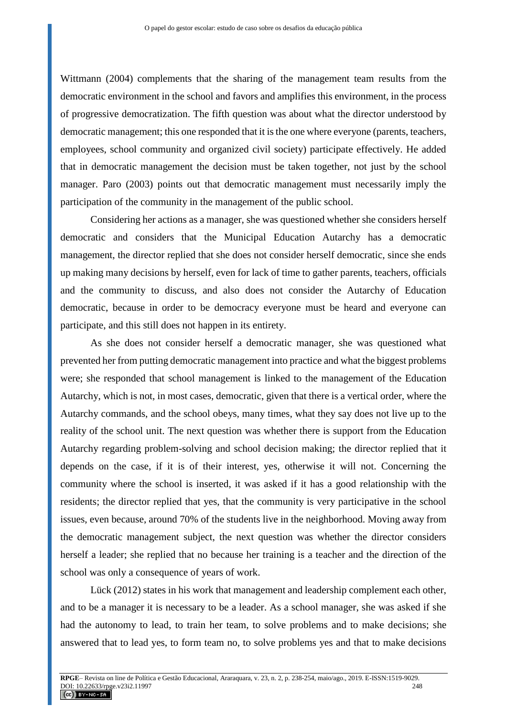Wittmann (2004) complements that the sharing of the management team results from the democratic environment in the school and favors and amplifies this environment, in the process of progressive democratization. The fifth question was about what the director understood by democratic management; this one responded that it is the one where everyone (parents, teachers, employees, school community and organized civil society) participate effectively. He added that in democratic management the decision must be taken together, not just by the school manager. Paro (2003) points out that democratic management must necessarily imply the participation of the community in the management of the public school.

Considering her actions as a manager, she was questioned whether she considers herself democratic and considers that the Municipal Education Autarchy has a democratic management, the director replied that she does not consider herself democratic, since she ends up making many decisions by herself, even for lack of time to gather parents, teachers, officials and the community to discuss, and also does not consider the Autarchy of Education democratic, because in order to be democracy everyone must be heard and everyone can participate, and this still does not happen in its entirety.

As she does not consider herself a democratic manager, she was questioned what prevented her from putting democratic management into practice and what the biggest problems were; she responded that school management is linked to the management of the Education Autarchy, which is not, in most cases, democratic, given that there is a vertical order, where the Autarchy commands, and the school obeys, many times, what they say does not live up to the reality of the school unit. The next question was whether there is support from the Education Autarchy regarding problem-solving and school decision making; the director replied that it depends on the case, if it is of their interest, yes, otherwise it will not. Concerning the community where the school is inserted, it was asked if it has a good relationship with the residents; the director replied that yes, that the community is very participative in the school issues, even because, around 70% of the students live in the neighborhood. Moving away from the democratic management subject, the next question was whether the director considers herself a leader; she replied that no because her training is a teacher and the direction of the school was only a consequence of years of work.

Lück (2012) states in his work that management and leadership complement each other, and to be a manager it is necessary to be a leader. As a school manager, she was asked if she had the autonomy to lead, to train her team, to solve problems and to make decisions; she answered that to lead yes, to form team no, to solve problems yes and that to make decisions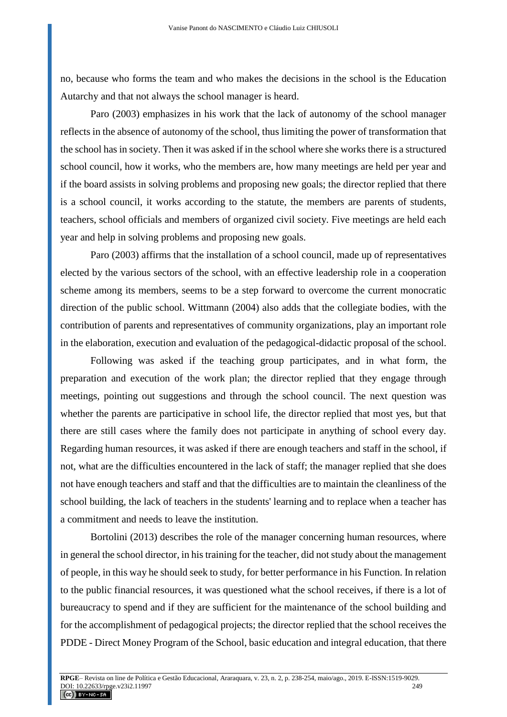no, because who forms the team and who makes the decisions in the school is the Education Autarchy and that not always the school manager is heard.

Paro (2003) emphasizes in his work that the lack of autonomy of the school manager reflects in the absence of autonomy of the school, thus limiting the power of transformation that the school has in society. Then it was asked if in the school where she works there is a structured school council, how it works, who the members are, how many meetings are held per year and if the board assists in solving problems and proposing new goals; the director replied that there is a school council, it works according to the statute, the members are parents of students, teachers, school officials and members of organized civil society. Five meetings are held each year and help in solving problems and proposing new goals.

Paro (2003) affirms that the installation of a school council, made up of representatives elected by the various sectors of the school, with an effective leadership role in a cooperation scheme among its members, seems to be a step forward to overcome the current monocratic direction of the public school. Wittmann (2004) also adds that the collegiate bodies, with the contribution of parents and representatives of community organizations, play an important role in the elaboration, execution and evaluation of the pedagogical-didactic proposal of the school.

Following was asked if the teaching group participates, and in what form, the preparation and execution of the work plan; the director replied that they engage through meetings, pointing out suggestions and through the school council. The next question was whether the parents are participative in school life, the director replied that most yes, but that there are still cases where the family does not participate in anything of school every day. Regarding human resources, it was asked if there are enough teachers and staff in the school, if not, what are the difficulties encountered in the lack of staff; the manager replied that she does not have enough teachers and staff and that the difficulties are to maintain the cleanliness of the school building, the lack of teachers in the students' learning and to replace when a teacher has a commitment and needs to leave the institution.

Bortolini (2013) describes the role of the manager concerning human resources, where in general the school director, in his training for the teacher, did not study about the management of people, in this way he should seek to study, for better performance in his Function. In relation to the public financial resources, it was questioned what the school receives, if there is a lot of bureaucracy to spend and if they are sufficient for the maintenance of the school building and for the accomplishment of pedagogical projects; the director replied that the school receives the PDDE - Direct Money Program of the School, basic education and integral education, that there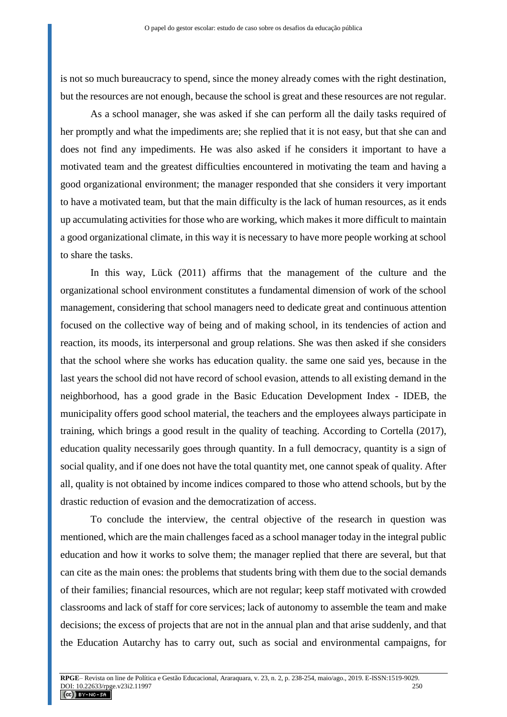is not so much bureaucracy to spend, since the money already comes with the right destination, but the resources are not enough, because the school is great and these resources are not regular.

As a school manager, she was asked if she can perform all the daily tasks required of her promptly and what the impediments are; she replied that it is not easy, but that she can and does not find any impediments. He was also asked if he considers it important to have a motivated team and the greatest difficulties encountered in motivating the team and having a good organizational environment; the manager responded that she considers it very important to have a motivated team, but that the main difficulty is the lack of human resources, as it ends up accumulating activities for those who are working, which makes it more difficult to maintain a good organizational climate, in this way it is necessary to have more people working at school to share the tasks.

In this way, Lück (2011) affirms that the management of the culture and the organizational school environment constitutes a fundamental dimension of work of the school management, considering that school managers need to dedicate great and continuous attention focused on the collective way of being and of making school, in its tendencies of action and reaction, its moods, its interpersonal and group relations. She was then asked if she considers that the school where she works has education quality. the same one said yes, because in the last years the school did not have record of school evasion, attends to all existing demand in the neighborhood, has a good grade in the Basic Education Development Index - IDEB, the municipality offers good school material, the teachers and the employees always participate in training, which brings a good result in the quality of teaching. According to Cortella (2017), education quality necessarily goes through quantity. In a full democracy, quantity is a sign of social quality, and if one does not have the total quantity met, one cannot speak of quality. After all, quality is not obtained by income indices compared to those who attend schools, but by the drastic reduction of evasion and the democratization of access.

To conclude the interview, the central objective of the research in question was mentioned, which are the main challenges faced as a school manager today in the integral public education and how it works to solve them; the manager replied that there are several, but that can cite as the main ones: the problems that students bring with them due to the social demands of their families; financial resources, which are not regular; keep staff motivated with crowded classrooms and lack of staff for core services; lack of autonomy to assemble the team and make decisions; the excess of projects that are not in the annual plan and that arise suddenly, and that the Education Autarchy has to carry out, such as social and environmental campaigns, for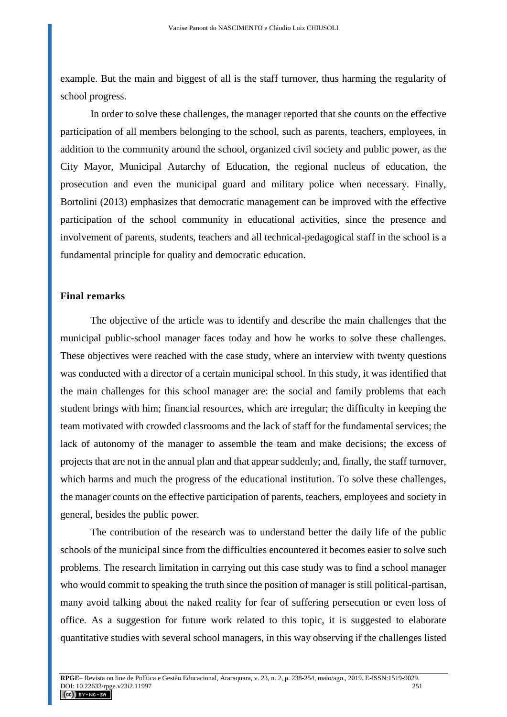example. But the main and biggest of all is the staff turnover, thus harming the regularity of school progress.

In order to solve these challenges, the manager reported that she counts on the effective participation of all members belonging to the school, such as parents, teachers, employees, in addition to the community around the school, organized civil society and public power, as the City Mayor, Municipal Autarchy of Education, the regional nucleus of education, the prosecution and even the municipal guard and military police when necessary. Finally, Bortolini (2013) emphasizes that democratic management can be improved with the effective participation of the school community in educational activities, since the presence and involvement of parents, students, teachers and all technical-pedagogical staff in the school is a fundamental principle for quality and democratic education.

#### **Final remarks**

The objective of the article was to identify and describe the main challenges that the municipal public-school manager faces today and how he works to solve these challenges. These objectives were reached with the case study, where an interview with twenty questions was conducted with a director of a certain municipal school. In this study, it was identified that the main challenges for this school manager are: the social and family problems that each student brings with him; financial resources, which are irregular; the difficulty in keeping the team motivated with crowded classrooms and the lack of staff for the fundamental services; the lack of autonomy of the manager to assemble the team and make decisions; the excess of projects that are not in the annual plan and that appear suddenly; and, finally, the staff turnover, which harms and much the progress of the educational institution. To solve these challenges, the manager counts on the effective participation of parents, teachers, employees and society in general, besides the public power.

The contribution of the research was to understand better the daily life of the public schools of the municipal since from the difficulties encountered it becomes easier to solve such problems. The research limitation in carrying out this case study was to find a school manager who would commit to speaking the truth since the position of manager is still political-partisan, many avoid talking about the naked reality for fear of suffering persecution or even loss of office. As a suggestion for future work related to this topic, it is suggested to elaborate quantitative studies with several school managers, in this way observing if the challenges listed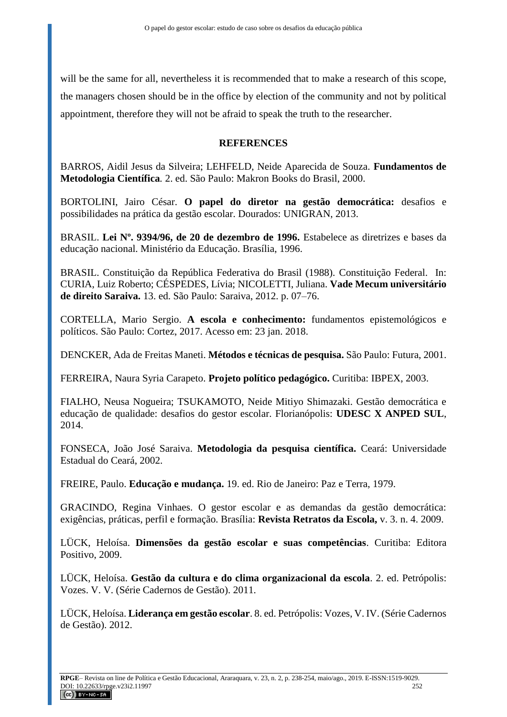will be the same for all, nevertheless it is recommended that to make a research of this scope, the managers chosen should be in the office by election of the community and not by political appointment, therefore they will not be afraid to speak the truth to the researcher.

### **REFERENCES**

BARROS, Aidil Jesus da Silveira; LEHFELD, Neide Aparecida de Souza. **Fundamentos de Metodologia Científica***.* 2. ed. São Paulo: Makron Books do Brasil, 2000.

BORTOLINI, Jairo César. **O papel do diretor na gestão democrática:** desafios e possibilidades na prática da gestão escolar. Dourados: UNIGRAN, 2013.

BRASIL. **Lei Nº. 9394/96, de 20 de dezembro de 1996.** Estabelece as diretrizes e bases da educação nacional. Ministério da Educação. Brasília, 1996.

BRASIL. Constituição da República Federativa do Brasil (1988). Constituição Federal. In: CURIA, Luiz Roberto; CÉSPEDES, Lívia; NICOLETTI, Juliana. **Vade Mecum universitário de direito Saraiva.** 13. ed. São Paulo: Saraiva, 2012. p. 07–76.

CORTELLA, Mario Sergio. **A escola e conhecimento:** fundamentos epistemológicos e políticos. São Paulo: Cortez, 2017. Acesso em: 23 jan. 2018.

DENCKER, Ada de Freitas Maneti. **Métodos e técnicas de pesquisa.** São Paulo: Futura, 2001.

FERREIRA, Naura Syria Carapeto. **Projeto político pedagógico.** Curitiba: IBPEX, 2003.

FIALHO, Neusa Nogueira; TSUKAMOTO, Neide Mitiyo Shimazaki. Gestão democrática e educação de qualidade: desafios do gestor escolar. Florianópolis: **UDESC X ANPED SUL**, 2014.

FONSECA, João José Saraiva. **Metodologia da pesquisa científica.** Ceará: Universidade Estadual do Ceará, 2002.

FREIRE, Paulo. **Educação e mudança.** 19. ed. Rio de Janeiro: Paz e Terra, 1979.

GRACINDO, Regina Vinhaes. O gestor escolar e as demandas da gestão democrática: exigências, práticas, perfil e formação. Brasília: **Revista Retratos da Escola,** v. 3. n. 4. 2009.

LÜCK, Heloísa. **Dimensões da gestão escolar e suas competências**. Curitiba: Editora Positivo, 2009.

LÜCK, Heloísa. **Gestão da cultura e do clima organizacional da escola**. 2. ed. Petrópolis: Vozes. V. V. (Série Cadernos de Gestão). 2011.

LÜCK, Heloísa. **Liderança em gestão escolar**. 8. ed. Petrópolis: Vozes, V. IV. (Série Cadernos de Gestão). 2012.